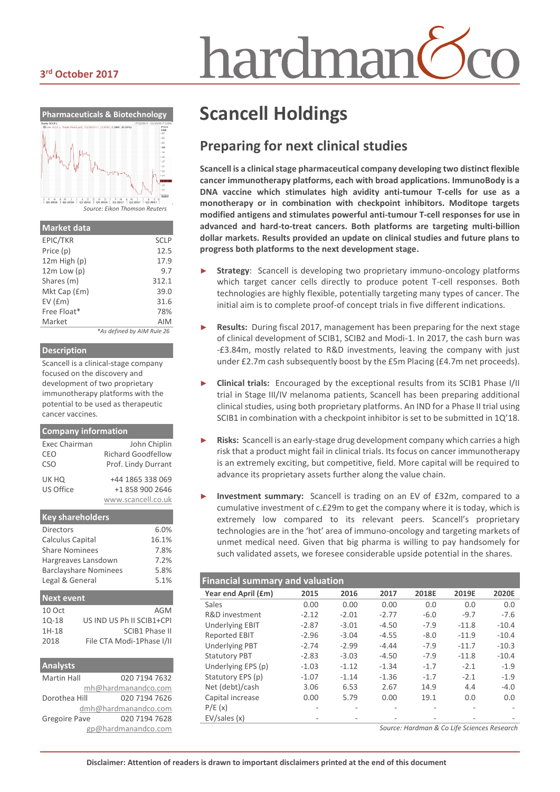#### **3 rd October 2017**



| <b>Market data</b> |                            |
|--------------------|----------------------------|
| EPIC/TKR           | <b>SCLP</b>                |
| Price (p)          | 12.5                       |
| 12m High (p)       | 17.9                       |
| $12m$ Low $(p)$    | 9.7                        |
| Shares (m)         | 312.1                      |
| Mkt Cap (£m)       | 39.0                       |
| EV(fm)             | 31.6                       |
| Free Float*        | 78%                        |
| Market             | AIM                        |
|                    | *As defined by AIM Rule 26 |

#### **Description**

Scancell is a clinical-stage company focused on the discovery and development of two proprietary immunotherapy platforms with the potential to be used as therapeutic cancer vaccines.

#### **Company information**

| Exec Chairman    | John Chiplin        |
|------------------|---------------------|
| CEO              | Richard Goodfellow  |
| C <sub>S</sub> O | Prof. Lindy Durrant |
| UK HQ            | +44 1865 338 069    |
| US Office        | +1 858 900 2646     |
|                  | www.scancell.co.uk  |
|                  |                     |

#### **Key shareholders** Directors 6.0% Calculus Capital 16.1% Share Nominees 7.8% Hargreaves Lansdown 7.2% Barclayshare Nominees 5.8% Legal & General 5.1% **Next event** 10 Oct AGM 1Q-18 US IND US Ph II SCIB1+CPI 1H-18 SCIB1 Phase II

| <b>Analysts</b>      |                      |
|----------------------|----------------------|
| <b>Martin Hall</b>   | 020 7194 7632        |
|                      | mh@hardmanandco.com  |
| Dorothea Hill        | 020 7194 7626        |
|                      | dmh@hardmanandco.com |
| <b>Gregoire Pave</b> | 020 7194 7628        |
|                      | gp@hardmanandco.com  |

2018 File CTA Modi-1Phase I/II

# hardmar

# **Scancell Holdings**

#### **Preparing for next clinical studies**

**Scancell is a clinical stage pharmaceutical company developing two distinct flexible cancer immunotherapy platforms, each with broad applications. ImmunoBody is a DNA vaccine which stimulates high avidity anti-tumour T-cells for use as a monotherapy or in combination with checkpoint inhibitors. Moditope targets modified antigens and stimulates powerful anti-tumour T-cell responses for use in advanced and hard-to-treat cancers. Both platforms are targeting multi-billion dollar markets. Results provided an update on clinical studies and future plans to progress both platforms to the next development stage.** 

- Strategy: Scancell is developing two proprietary immuno-oncology platforms which target cancer cells directly to produce potent T-cell responses. Both technologies are highly flexible, potentially targeting many types of cancer. The initial aim is to complete proof-of concept trials in five different indications.
- **Results:** During fiscal 2017, management has been preparing for the next stage of clinical development of SCIB1, SCIB2 and Modi-1. In 2017, the cash burn was -£3.84m, mostly related to R&D investments, leaving the company with just under £2.7m cash subsequently boost by the £5m Placing (£4.7m net proceeds).
- ► **Clinical trials:** Encouraged by the exceptional results from its SCIB1 Phase I/II trial in Stage III/IV melanoma patients, Scancell has been preparing additional clinical studies, using both proprietary platforms. An IND for a Phase II trial using SCIB1 in combination with a checkpoint inhibitor is set to be submitted in 1Q'18.
- Risks: Scancell is an early-stage drug development company which carries a high risk that a product might fail in clinical trials. Its focus on cancer immunotherapy is an extremely exciting, but competitive, field. More capital will be required to advance its proprietary assets further along the value chain.
- Investment summary: Scancell is trading on an EV of £32m, compared to a cumulative investment of c.£29m to get the company where it is today, which is extremely low compared to its relevant peers. Scancell's proprietary technologies are in the 'hot' area of immuno-oncology and targeting markets of unmet medical need. Given that big pharma is willing to pay handsomely for such validated assets, we foresee considerable upside potential in the shares.

#### **Financial summary and valuation**

| Year end April (£m)    | 2015    | 2016    | 2017    | 2018E    | 2019E   | 2020E   |
|------------------------|---------|---------|---------|----------|---------|---------|
| Sales                  | 0.00    | 0.00    | 0.00    | 0.0      | 0.0     | 0.0     |
| R&D investment         | $-2.12$ | $-2.01$ | $-2.77$ | $-6.0$   | $-9.7$  | $-7.6$  |
| <b>Underlying EBIT</b> | $-2.87$ | $-3.01$ | $-4.50$ | $-7.9$   | $-11.8$ | $-10.4$ |
| <b>Reported EBIT</b>   | $-2.96$ | $-3.04$ | $-4.55$ | $-8.0$   | $-11.9$ | $-10.4$ |
| <b>Underlying PBT</b>  | $-2.74$ | $-2.99$ | $-4.44$ | $-7.9$   | $-11.7$ | $-10.3$ |
| <b>Statutory PBT</b>   | $-2.83$ | $-3.03$ | $-4.50$ | $-7.9$   | $-11.8$ | $-10.4$ |
| Underlying EPS (p)     | $-1.03$ | $-1.12$ | $-1.34$ | $-1.7$   | $-2.1$  | $-1.9$  |
| Statutory EPS (p)      | $-1.07$ | $-1.14$ | $-1.36$ | $-1.7$   | $-2.1$  | $-1.9$  |
| Net (debt)/cash        | 3.06    | 6.53    | 2.67    | 14.9     | 4.4     | $-4.0$  |
| Capital increase       | 0.00    | 5.79    | 0.00    | 19.1     | 0.0     | 0.0     |
| P/E(x)                 |         |         |         |          |         |         |
| EV/sales(x)            |         |         |         |          |         |         |
|                        |         |         |         | $\cdots$ |         |         |

*Source: Hardman & Co Life Sciences Research*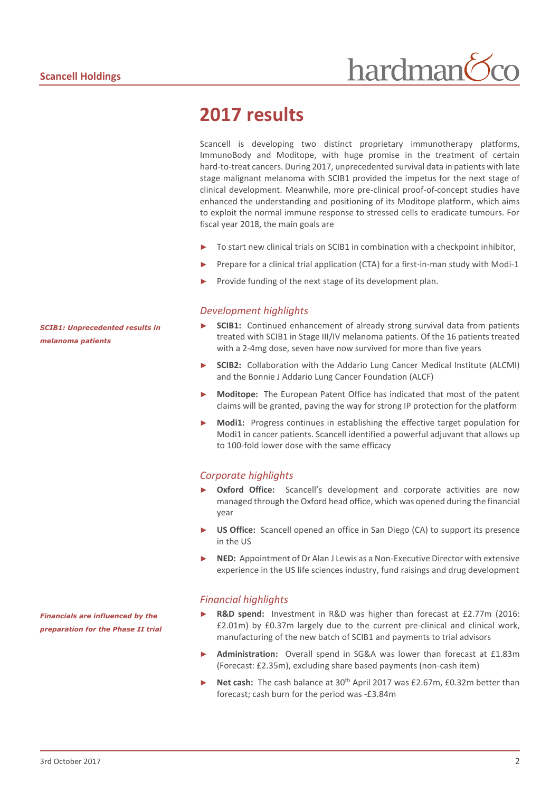## **2017 results**

Scancell is developing two distinct proprietary immunotherapy platforms, ImmunoBody and Moditope, with huge promise in the treatment of certain hard-to-treat cancers. During 2017, unprecedented survival data in patients with late stage malignant melanoma with SCIB1 provided the impetus for the next stage of clinical development. Meanwhile, more pre-clinical proof-of-concept studies have enhanced the understanding and positioning of its Moditope platform, which aims to exploit the normal immune response to stressed cells to eradicate tumours. For fiscal year 2018, the main goals are

- To start new clinical trials on SCIB1 in combination with a checkpoint inhibitor,
- Prepare for a clinical trial application (CTA) for a first-in-man study with Modi-1
- Provide funding of the next stage of its development plan.

#### *Development highlights*

- **SCIB1:** Continued enhancement of already strong survival data from patients treated with SCIB1 in Stage III/IV melanoma patients. Of the 16 patients treated with a 2-4mg dose, seven have now survived for more than five years
- ► **SCIB2:** Collaboration with the Addario Lung Cancer Medical Institute (ALCMI) and the Bonnie J Addario Lung Cancer Foundation (ALCF)
- **Moditope:** The European Patent Office has indicated that most of the patent claims will be granted, paving the way for strong IP protection for the platform
- **Modi1:** Progress continues in establishing the effective target population for Modi1 in cancer patients. Scancell identified a powerful adjuvant that allows up to 100-fold lower dose with the same efficacy

#### *Corporate highlights*

- Oxford Office: Scancell's development and corporate activities are now managed through the Oxford head office, which was opened during the financial year
- **US Office:** Scancell opened an office in San Diego (CA) to support its presence in the US
- **NED:** Appointment of Dr Alan J Lewis as a Non-Executive Director with extensive experience in the US life sciences industry, fund raisings and drug development

#### *Financial highlights*

- **R&D spend:** Investment in R&D was higher than forecast at £2.77m (2016: £2.01m) by £0.37m largely due to the current pre-clinical and clinical work, manufacturing of the new batch of SCIB1 and payments to trial advisors
- ► **Administration:** Overall spend in SG&A was lower than forecast at £1.83m (Forecast: £2.35m), excluding share based payments (non-cash item)
- ► Net cash: The cash balance at 30<sup>th</sup> April 2017 was £2.67m, £0.32m better than forecast; cash burn for the period was -£3.84m

*SCIB1: Unprecedented results in melanoma patients*

*Financials are influenced by the preparation for the Phase II trial*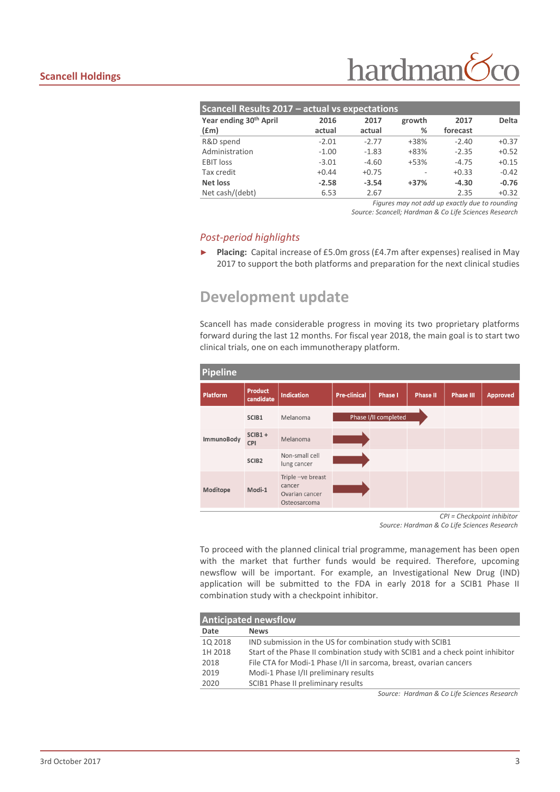| <b>Scancell Results 2017 - actual vs expectations</b> |         |         |        |                                                                                                                                                                                                                                |              |  |  |
|-------------------------------------------------------|---------|---------|--------|--------------------------------------------------------------------------------------------------------------------------------------------------------------------------------------------------------------------------------|--------------|--|--|
| Year ending 30 <sup>th</sup> April                    | 2016    | 2017    | growth | 2017                                                                                                                                                                                                                           | <b>Delta</b> |  |  |
| (f.m)                                                 | actual  | actual  | %      | forecast                                                                                                                                                                                                                       |              |  |  |
| R&D spend                                             | $-2.01$ | $-2.77$ | +38%   | $-2.40$                                                                                                                                                                                                                        | $+0.37$      |  |  |
| Administration                                        | $-1.00$ | $-1.83$ | $+83%$ | $-2.35$                                                                                                                                                                                                                        | $+0.52$      |  |  |
| <b>EBIT</b> loss                                      | $-3.01$ | $-4.60$ | $+53%$ | $-4.75$                                                                                                                                                                                                                        | $+0.15$      |  |  |
| Tax credit                                            | $+0.44$ | $+0.75$ |        | $+0.33$                                                                                                                                                                                                                        | $-0.42$      |  |  |
| Net loss                                              | $-2.58$ | $-3.54$ | $+37%$ | $-4.30$                                                                                                                                                                                                                        | $-0.76$      |  |  |
| Net cash/(debt)                                       | 6.53    | 2.67    |        | 2.35                                                                                                                                                                                                                           | $+0.32$      |  |  |
|                                                       |         |         |        | references a constructed and constructed and construction of the construction of the construction of the construction of the construction of the construction of the construction of the construction of the construction of t |              |  |  |

*Figures may not add up exactly due to rounding*

*Source: Scancell; Hardman & Co Life Sciences Research*

#### *Post-period highlights*

► **Placing:** Capital increase of £5.0m gross (£4.7m after expenses) realised in May 2017 to support the both platforms and preparation for the next clinical studies

### **Development update**

Scancell has made considerable progress in moving its two proprietary platforms forward during the last 12 months. For fiscal year 2018, the main goal is to start two clinical trials, one on each immunotherapy platform.

| <b>Pipeline</b> |                             |                                                               |                     |                      |                 |                  |                 |  |
|-----------------|-----------------------------|---------------------------------------------------------------|---------------------|----------------------|-----------------|------------------|-----------------|--|
| <b>Platform</b> | <b>Product</b><br>candidate | <b>Indication</b>                                             | <b>Pre-clinical</b> | <b>Phase I</b>       | <b>Phase II</b> | <b>Phase III</b> | <b>Approved</b> |  |
|                 | SCIB1                       | Melanoma                                                      |                     | Phase I/II completed |                 |                  |                 |  |
| ImmunoBody      | $SCIB1 +$<br><b>CPI</b>     | Melanoma                                                      |                     |                      |                 |                  |                 |  |
|                 | SCIB <sub>2</sub>           | Non-small cell<br>lung cancer                                 |                     |                      |                 |                  |                 |  |
| Moditope        | Modi-1                      | Triple -ve breast<br>cancer<br>Ovarian cancer<br>Osteosarcoma |                     |                      |                 |                  |                 |  |

*CPI = Checkpoint inhibitor Source: Hardman & Co Life Sciences Research*

To proceed with the planned clinical trial programme, management has been open with the market that further funds would be required. Therefore, upcoming newsflow will be important. For example, an Investigational New Drug (IND) application will be submitted to the FDA in early 2018 for a SCIB1 Phase II combination study with a checkpoint inhibitor.

| <b>Anticipated newsflow</b> |                                                                                |  |  |  |  |
|-----------------------------|--------------------------------------------------------------------------------|--|--|--|--|
| Date                        | <b>News</b>                                                                    |  |  |  |  |
| 10 2018                     | IND submission in the US for combination study with SCIB1                      |  |  |  |  |
| 1H 2018                     | Start of the Phase II combination study with SCIB1 and a check point inhibitor |  |  |  |  |
| 2018                        | File CTA for Modi-1 Phase I/II in sarcoma, breast, ovarian cancers             |  |  |  |  |
| 2019                        | Modi-1 Phase I/II preliminary results                                          |  |  |  |  |
| 2020                        | SCIB1 Phase II preliminary results                                             |  |  |  |  |

*Source: Hardman & Co Life Sciences Research*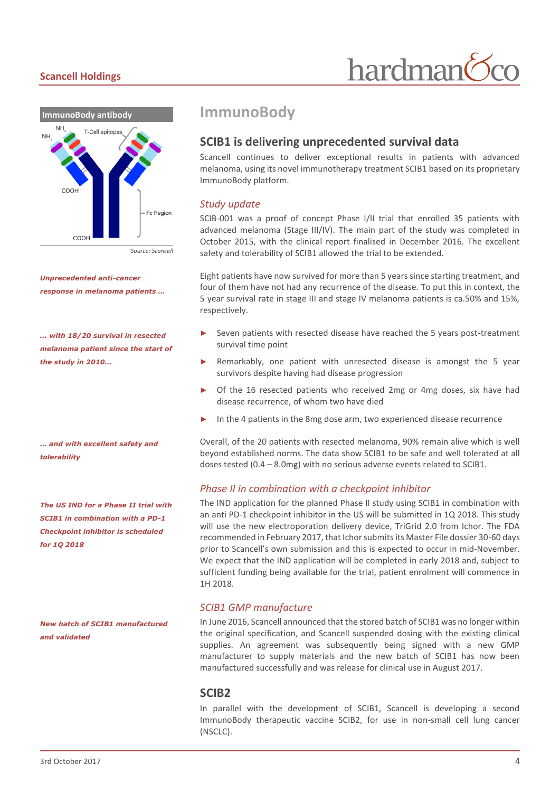#### **Scancell Holdings**



*Unprecedented anti-cancer response in melanoma patients …*

*… with 18/20 survival in resected melanoma patient since the start of the study in 2010…*

*… and with excellent safety and tolerability* 

*The US IND for a Phase II trial with SCIB1 in combination with a PD-1 Checkpoint inhibitor is scheduled for 1Q 2018*

*New batch of SCIB1 manufactured and validated*

#### **ImmunoBody**

#### **SCIB1 is delivering unprecedented survival data**

Scancell continues to deliver exceptional results in patients with advanced melanoma, using its novel immunotherapy treatment SCIB1 based on its proprietary ImmunoBody platform.

#### *Study update*

SCIB-001 was a proof of concept Phase I/II trial that enrolled 35 patients with advanced melanoma (Stage III/IV). The main part of the study was completed in October 2015, with the clinical report finalised in December 2016. The excellent safety and tolerability of SCIB1 allowed the trial to be extended.

Eight patients have now survived for more than 5 years since starting treatment, and four of them have not had any recurrence of the disease. To put this in context, the 5 year survival rate in stage III and stage IV melanoma patients is ca.50% and 15%, respectively.

- Seven patients with resected disease have reached the 5 years post-treatment survival time point
- Remarkably, one patient with unresected disease is amongst the 5 year survivors despite having had disease progression
- Of the 16 resected patients who received 2mg or 4mg doses, six have had disease recurrence, of whom two have died
- In the 4 patients in the 8mg dose arm, two experienced disease recurrence

Overall, of the 20 patients with resected melanoma, 90% remain alive which is well beyond established norms. The data show SCIB1 to be safe and well tolerated at all doses tested (0.4 – 8.0mg) with no serious adverse events related to SCIB1.

#### *Phase II in combination with a checkpoint inhibitor*

The IND application for the planned Phase II study using SCIB1 in combination with an anti PD-1 checkpoint inhibitor in the US will be submitted in 1Q 2018. This study will use the new electroporation delivery device, TriGrid 2.0 from Ichor. The FDA recommended in February 2017, that Ichor submits its Master File dossier 30-60 days prior to Scancell's own submission and this is expected to occur in mid-November. We expect that the IND application will be completed in early 2018 and, subject to sufficient funding being available for the trial, patient enrolment will commence in 1H 2018.

#### *SCIB1 GMP manufacture*

In June 2016, Scancell announced that the stored batch of SCIB1 was no longer within the original specification, and Scancell suspended dosing with the existing clinical supplies. An agreement was subsequently being signed with a new GMP manufacturer to supply materials and the new batch of SCIB1 has now been manufactured successfully and was release for clinical use in August 2017.

#### **SCIB2**

In parallel with the development of SCIB1, Scancell is developing a second ImmunoBody therapeutic vaccine SCIB2, for use in non-small cell lung cancer (NSCLC).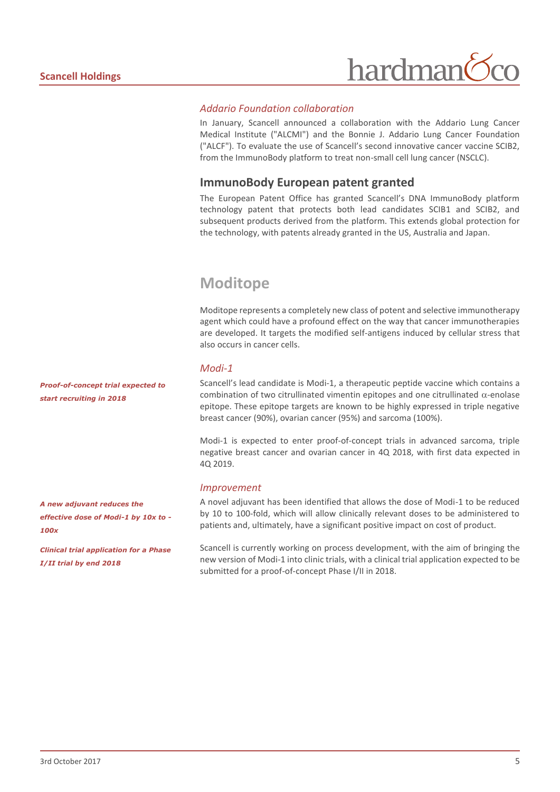# hardman<sup>(</sup>

#### *Addario Foundation collaboration*

In January, Scancell announced a collaboration with the Addario Lung Cancer Medical Institute ("ALCMI") and the Bonnie J. Addario Lung Cancer Foundation ("ALCF"). To evaluate the use of Scancell's second innovative cancer vaccine SCIB2, from the ImmunoBody platform to treat non-small cell lung cancer (NSCLC).

#### **ImmunoBody European patent granted**

The European Patent Office has granted Scancell's DNA ImmunoBody platform technology patent that protects both lead candidates SCIB1 and SCIB2, and subsequent products derived from the platform. This extends global protection for the technology, with patents already granted in the US, Australia and Japan.

### **Moditope**

Moditope represents a completely new class of potent and selective immunotherapy agent which could have a profound effect on the way that cancer immunotherapies are developed. It targets the modified self-antigens induced by cellular stress that also occurs in cancer cells.

#### *Modi-1*

Scancell's lead candidate is Modi-1, a therapeutic peptide vaccine which contains a combination of two citrullinated vimentin epitopes and one citrullinated  $\alpha$ -enolase epitope. These epitope targets are known to be highly expressed in triple negative breast cancer (90%), ovarian cancer (95%) and sarcoma (100%).

Modi-1 is expected to enter proof-of-concept trials in advanced sarcoma, triple negative breast cancer and ovarian cancer in 4Q 2018, with first data expected in 4Q 2019.

#### *Improvement*

A novel adjuvant has been identified that allows the dose of Modi-1 to be reduced by 10 to 100-fold, which will allow clinically relevant doses to be administered to patients and, ultimately, have a significant positive impact on cost of product.

Scancell is currently working on process development, with the aim of bringing the new version of Modi-1 into clinic trials, with a clinical trial application expected to be submitted for a proof-of-concept Phase I/II in 2018.

*Proof-of-concept trial expected to start recruiting in 2018*

*A new adjuvant reduces the effective dose of Modi-1 by 10x to - 100x*

*Clinical trial application for a Phase I/II trial by end 2018*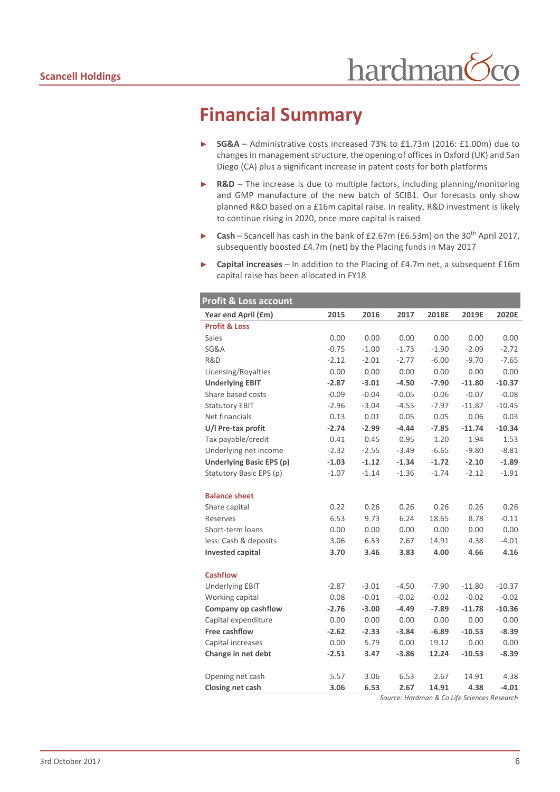# **Financial Summary**

- ► **SG&A**  Administrative costs increased 73% to £1.73m (2016: £1.00m) due to changes in management structure, the opening of offices in Oxford (UK) and San Diego (CA) plus a significant increase in patent costs for both platforms
- ► **R&D**  The increase is due to multiple factors, including planning/monitoring and GMP manufacture of the new batch of SCIB1. Our forecasts only show planned R&D based on a £16m capital raise. In reality, R&D investment is likely to continue rising in 2020, once more capital is raised
- ► **Cash** Scancell has cash in the bank of £2.67m (£6.53m) on the 30th April 2017, subsequently boosted £4.7m (net) by the Placing funds in May 2017
- ► **Capital increases** In addition to the Placing of £4.7m net, a subsequent £16m capital raise has been allocated in FY18

| <b>Profit &amp; Loss account</b> |         |         |         |         |          |          |  |
|----------------------------------|---------|---------|---------|---------|----------|----------|--|
| Year end April (£m)              | 2015    | 2016    | 2017    | 2018E   | 2019E    | 2020E    |  |
| <b>Profit &amp; Loss</b>         |         |         |         |         |          |          |  |
| Sales                            | 0.00    | 0.00    | 0.00    | 0.00    | 0.00     | 0.00     |  |
| <b>SG&amp;A</b>                  | $-0.75$ | $-1.00$ | $-1.73$ | $-1.90$ | $-2.09$  | $-2.72$  |  |
| R&D                              | $-2.12$ | $-2.01$ | $-2.77$ | $-6.00$ | $-9.70$  | $-7.65$  |  |
| Licensing/Royalties              | 0.00    | 0.00    | 0.00    | 0.00    | 0.00     | 0.00     |  |
| <b>Underlying EBIT</b>           | $-2.87$ | $-3.01$ | $-4.50$ | $-7.90$ | $-11.80$ | $-10.37$ |  |
| Share based costs                | $-0.09$ | $-0.04$ | $-0.05$ | $-0.06$ | $-0.07$  | $-0.08$  |  |
| <b>Statutory EBIT</b>            | $-2.96$ | $-3.04$ | $-4.55$ | $-7.97$ | $-11.87$ | $-10.45$ |  |
| Net financials                   | 0.13    | 0.01    | 0.05    | 0.05    | 0.06     | 0.03     |  |
| U/I Pre-tax profit               | $-2.74$ | $-2.99$ | $-4.44$ | $-7.85$ | $-11.74$ | $-10.34$ |  |
| Tax payable/credit               | 0.41    | 0.45    | 0.95    | 1.20    | 1.94     | 1.53     |  |
| Underlying net income            | $-2.32$ | $-2.55$ | $-3.49$ | $-6.65$ | $-9.80$  | $-8.81$  |  |
| <b>Underlying Basic EPS (p)</b>  | $-1.03$ | $-1.12$ | $-1.34$ | $-1.72$ | $-2.10$  | $-1.89$  |  |
| Statutory Basic EPS (p)          | $-1.07$ | $-1.14$ | $-1.36$ | $-1.74$ | $-2.12$  | $-1.91$  |  |
|                                  |         |         |         |         |          |          |  |
| <b>Balance sheet</b>             |         |         |         |         |          |          |  |
| Share capital                    | 0.22    | 0.26    | 0.26    | 0.26    | 0.26     | 0.26     |  |
| Reserves                         | 6.53    | 9.73    | 6.24    | 18.65   | 8.78     | $-0.11$  |  |
| Short-term loans                 | 0.00    | 0.00    | 0.00    | 0.00    | 0.00     | 0.00     |  |
| less: Cash & deposits            | 3.06    | 6.53    | 2.67    | 14.91   | 4.38     | $-4.01$  |  |
| <b>Invested capital</b>          | 3.70    | 3.46    | 3.83    | 4.00    | 4.66     | 4.16     |  |
|                                  |         |         |         |         |          |          |  |
| <b>Cashflow</b>                  |         |         |         |         |          |          |  |
| <b>Underlying EBIT</b>           | $-2.87$ | $-3.01$ | $-4.50$ | $-7.90$ | $-11.80$ | $-10.37$ |  |
| Working capital                  | 0.08    | $-0.01$ | $-0.02$ | $-0.02$ | $-0.02$  | $-0.02$  |  |
| Company op cashflow              | $-2.76$ | $-3.00$ | $-4.49$ | $-7.89$ | $-11.78$ | $-10.36$ |  |
| Capital expenditure              | 0.00    | 0.00    | 0.00    | 0.00    | 0.00     | 0.00     |  |
| <b>Free cashflow</b>             | $-2.62$ | $-2.33$ | $-3.84$ | $-6.89$ | $-10.53$ | $-8.39$  |  |
| Capital increases                | 0.00    | 5.79    | 0.00    | 19.12   | 0.00     | 0.00     |  |
| Change in net debt               | $-2.51$ | 3.47    | $-3.86$ | 12.24   | $-10.53$ | $-8.39$  |  |
|                                  |         |         |         |         |          |          |  |
| Opening net cash                 | 5.57    | 3.06    | 6.53    | 2.67    | 14.91    | 4.38     |  |
| Closing net cash                 | 3.06    | 6.53    | 2.67    | 14.91   | 4.38     | $-4.01$  |  |

*Source: Hardman & Co Life Sciences Research*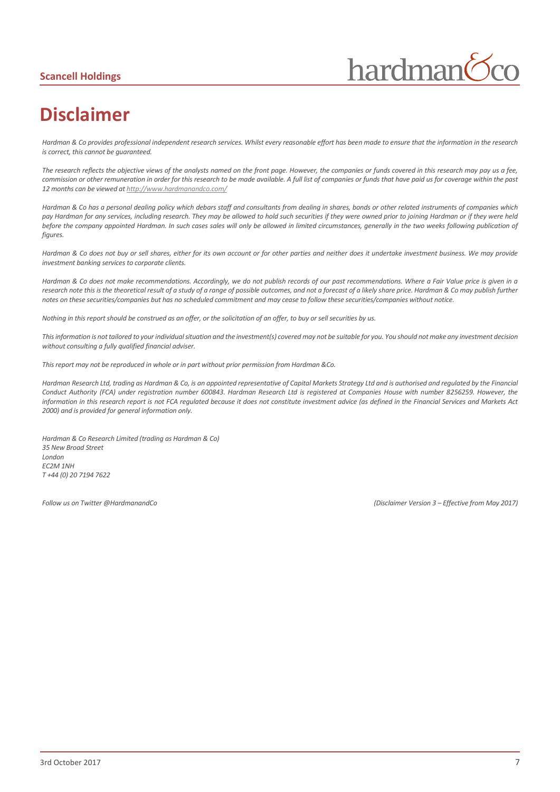#### **Scancell Holdings**



# **Disclaimer**

*Hardman & Co provides professional independent research services. Whilst every reasonable effort has been made to ensure that the information in the research is correct, this cannot be guaranteed.*

*The research reflects the objective views of the analysts named on the front page. However, the companies or funds covered in this research may pay us a fee, commission or other remuneration in order for this research to be made available. A full list of companies or funds that have paid us for coverage within the past 12 months can be viewed a[t http://www.hardmanandco.com/](http://www.hardmanandco.com/)*

*Hardman & Co has a personal dealing policy which debars staff and consultants from dealing in shares, bonds or other related instruments of companies which pay Hardman for any services, including research. They may be allowed to hold such securities if they were owned prior to joining Hardman or if they were held before the company appointed Hardman. In such cases sales will only be allowed in limited circumstances, generally in the two weeks following publication of figures.* 

Hardman & Co does not buy or sell shares, either for its own account or for other parties and neither does it undertake investment business. We may provide *investment banking services to corporate clients.* 

*Hardman & Co does not make recommendations. Accordingly, we do not publish records of our past recommendations. Where a Fair Value price is given in a*  research note this is the theoretical result of a study of a range of possible outcomes, and not a forecast of a likely share price. Hardman & Co may publish further *notes on these securities/companies but has no scheduled commitment and may cease to follow these securities/companies without notice.*

*Nothing in this report should be construed as an offer, or the solicitation of an offer, to buy or sell securities by us.*

*This information is not tailored to your individual situation and the investment(s) covered may not be suitable for you. You should not make any investment decision without consulting a fully qualified financial adviser.*

*This report may not be reproduced in whole or in part without prior permission from Hardman &Co.*

*Hardman Research Ltd, trading as Hardman & Co, is an appointed representative of Capital Markets Strategy Ltd and is authorised and regulated by the Financial Conduct Authority (FCA) under registration number 600843. Hardman Research Ltd is registered at Companies House with number 8256259. However, the information in this research report is not FCA regulated because it does not constitute investment advice (as defined in the Financial Services and Markets Act 2000) and is provided for general information only.*

*Hardman & Co Research Limited (trading as Hardman & Co) 35 New Broad Street London EC2M 1NH T +44 (0) 20 7194 7622*

*Follow us on Twitter @HardmanandCo (Disclaimer Version 3 – Effective from May 2017)*